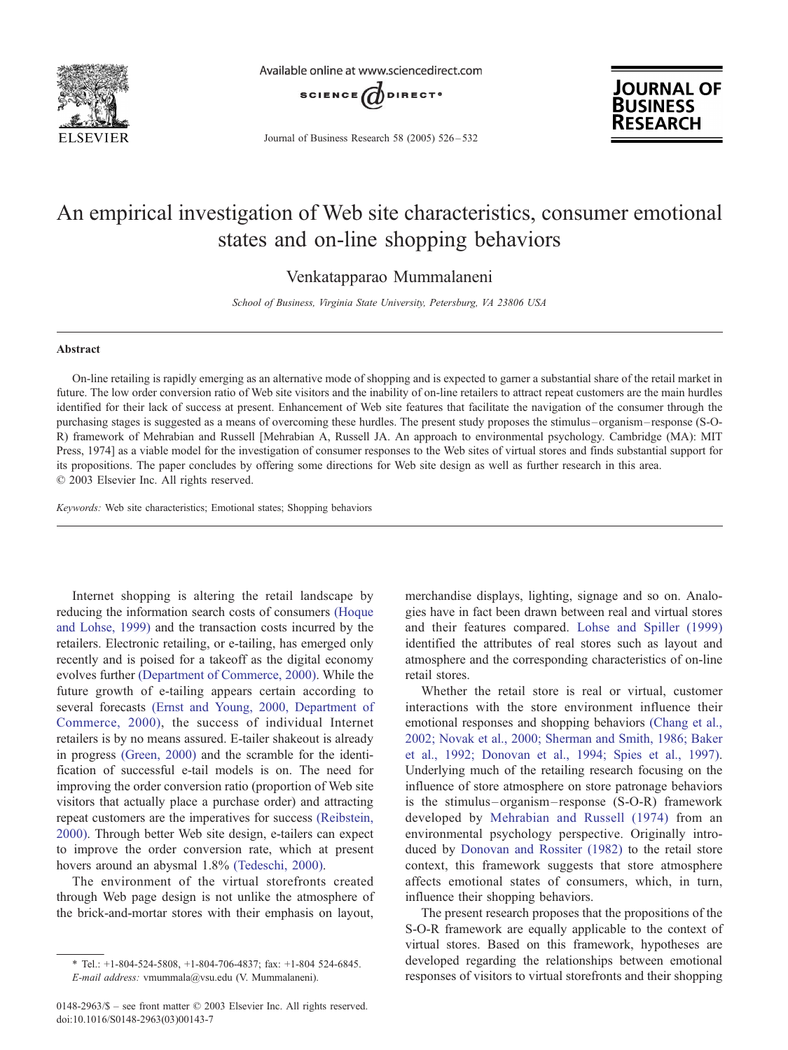

Available online at www.sciencedirect.com



Journal of Business Research 58 (2005) 526 – 532



## An empirical investigation of Web site characteristics, consumer emotional states and on-line shopping behaviors

Venkatapparao Mummalaneni

School of Business, Virginia State University, Petersburg, VA 23806 USA

#### Abstract

On-line retailing is rapidly emerging as an alternative mode of shopping and is expected to garner a substantial share of the retail market in future. The low order conversion ratio of Web site visitors and the inability of on-line retailers to attract repeat customers are the main hurdles identified for their lack of success at present. Enhancement of Web site features that facilitate the navigation of the consumer through the purchasing stages is suggested as a means of overcoming these hurdles. The present study proposes the stimulus – organism – response (S-O-R) framework of Mehrabian and Russell [Mehrabian A, Russell JA. An approach to environmental psychology. Cambridge (MA): MIT Press, 1974] as a viable model for the investigation of consumer responses to the Web sites of virtual stores and finds substantial support for its propositions. The paper concludes by offering some directions for Web site design as well as further research in this area.  $©$  2003 Elsevier Inc. All rights reserved.

Keywords: Web site characteristics; Emotional states; Shopping behaviors

Internet shopping is altering the retail landscape by reducing the information search costs of consumers [\(Hoque](#page--1-0) and Lohse, 1999) and the transaction costs incurred by the retailers. Electronic retailing, or e-tailing, has emerged only recently and is poised for a takeoff as the digital economy evolves further [\(Department of Commerce, 2000\).](#page--1-0) While the future growth of e-tailing appears certain according to several forecasts [\(Ernst and Young, 2000, Department of](#page--1-0) Commerce, 2000), the success of individual Internet retailers is by no means assured. E-tailer shakeout is already in progress [\(Green, 2000\)](#page--1-0) and the scramble for the identification of successful e-tail models is on. The need for improving the order conversion ratio (proportion of Web site visitors that actually place a purchase order) and attracting repeat customers are the imperatives for success [\(Reibstein,](#page--1-0) 2000). Through better Web site design, e-tailers can expect to improve the order conversion rate, which at present hovers around an abysmal 1.8% [\(Tedeschi, 2000\).](#page--1-0)

The environment of the virtual storefronts created through Web page design is not unlike the atmosphere of the brick-and-mortar stores with their emphasis on layout,

merchandise displays, lighting, signage and so on. Analogies have in fact been drawn between real and virtual stores and their features compared. [Lohse and Spiller \(1999\)](#page--1-0) identified the attributes of real stores such as layout and atmosphere and the corresponding characteristics of on-line retail stores.

Whether the retail store is real or virtual, customer interactions with the store environment influence their emotional responses and shopping behaviors [\(Chang et al.,](#page--1-0) 2002; Novak et al., 2000; Sherman and Smith, 1986; Baker et al., 1992; Donovan et al., 1994; Spies et al., 1997). Underlying much of the retailing research focusing on the influence of store atmosphere on store patronage behaviors is the stimulus – organism – response (S-O-R) framework developed by [Mehrabian and Russell \(1974\)](#page--1-0) from an environmental psychology perspective. Originally introduced by [Donovan and Rossiter \(1982\)](#page--1-0) to the retail store context, this framework suggests that store atmosphere affects emotional states of consumers, which, in turn, influence their shopping behaviors.

The present research proposes that the propositions of the S-O-R framework are equally applicable to the context of virtual stores. Based on this framework, hypotheses are developed regarding the relationships between emotional responses of visitors to virtual storefronts and their shopping

<sup>\*</sup> Tel.: +1-804-524-5808, +1-804-706-4837; fax: +1-804 524-6845.

E-mail address: vmummala@vsu.edu (V. Mummalaneni).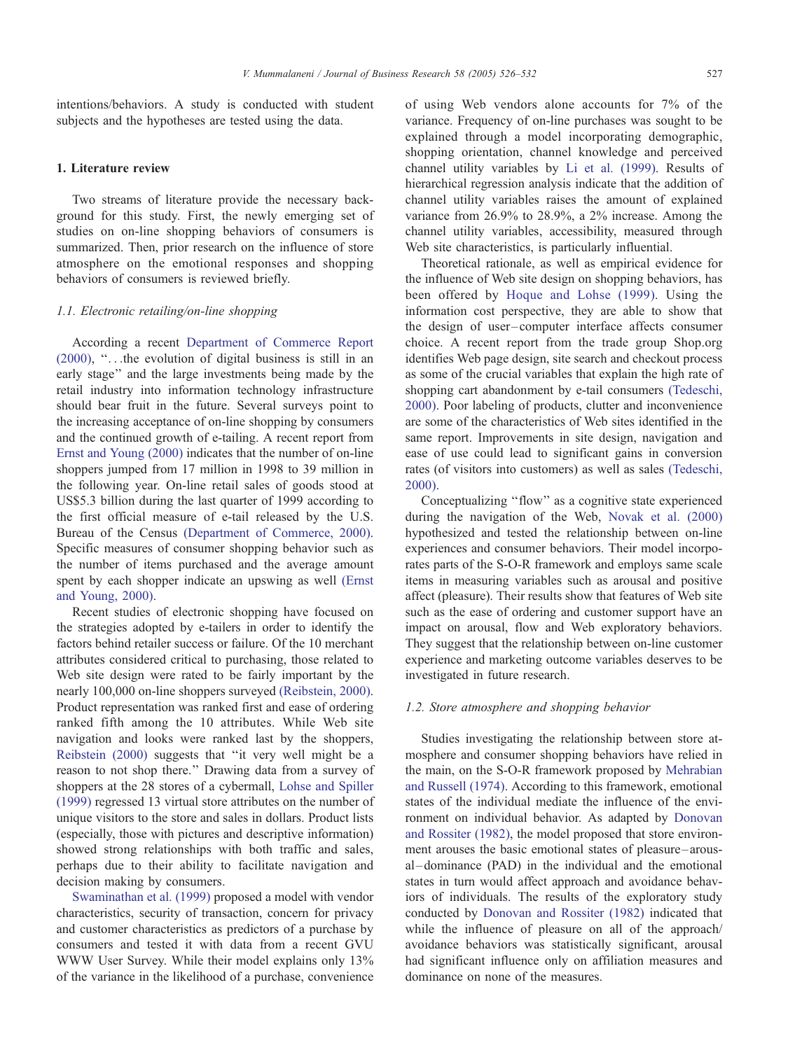intentions/behaviors. A study is conducted with student subjects and the hypotheses are tested using the data.

### 1. Literature review

Two streams of literature provide the necessary background for this study. First, the newly emerging set of studies on on-line shopping behaviors of consumers is summarized. Then, prior research on the influence of store atmosphere on the emotional responses and shopping behaviors of consumers is reviewed briefly.

#### 1.1. Electronic retailing/on-line shopping

According a recent [Department of Commerce Report](#page--1-0) (2000), ''...the evolution of digital business is still in an early stage'' and the large investments being made by the retail industry into information technology infrastructure should bear fruit in the future. Several surveys point to the increasing acceptance of on-line shopping by consumers and the continued growth of e-tailing. A recent report from [Ernst and Young \(2000\)](#page--1-0) indicates that the number of on-line shoppers jumped from 17 million in 1998 to 39 million in the following year. On-line retail sales of goods stood at US\$5.3 billion during the last quarter of 1999 according to the first official measure of e-tail released by the U.S. Bureau of the Census [\(Department of Commerce, 2000\).](#page--1-0) Specific measures of consumer shopping behavior such as the number of items purchased and the average amount spent by each shopper indicate an upswing as well [\(Ernst](#page--1-0) and Young, 2000).

Recent studies of electronic shopping have focused on the strategies adopted by e-tailers in order to identify the factors behind retailer success or failure. Of the 10 merchant attributes considered critical to purchasing, those related to Web site design were rated to be fairly important by the nearly 100,000 on-line shoppers surveyed [\(Reibstein, 2000\).](#page--1-0) Product representation was ranked first and ease of ordering ranked fifth among the 10 attributes. While Web site navigation and looks were ranked last by the shoppers, [Reibstein \(2000\)](#page--1-0) suggests that ''it very well might be a reason to not shop there.'' Drawing data from a survey of shoppers at the 28 stores of a cybermall, [Lohse and Spiller](#page--1-0) (1999) regressed 13 virtual store attributes on the number of unique visitors to the store and sales in dollars. Product lists (especially, those with pictures and descriptive information) showed strong relationships with both traffic and sales, perhaps due to their ability to facilitate navigation and decision making by consumers.

[Swaminathan et al. \(1999\)](#page--1-0) proposed a model with vendor characteristics, security of transaction, concern for privacy and customer characteristics as predictors of a purchase by consumers and tested it with data from a recent GVU WWW User Survey. While their model explains only 13% of the variance in the likelihood of a purchase, convenience

of using Web vendors alone accounts for 7% of the variance. Frequency of on-line purchases was sought to be explained through a model incorporating demographic, shopping orientation, channel knowledge and perceived channel utility variables by [Li et al. \(1999\).](#page--1-0) Results of hierarchical regression analysis indicate that the addition of channel utility variables raises the amount of explained variance from 26.9% to 28.9%, a 2% increase. Among the channel utility variables, accessibility, measured through Web site characteristics, is particularly influential.

Theoretical rationale, as well as empirical evidence for the influence of Web site design on shopping behaviors, has been offered by [Hoque and Lohse \(1999\).](#page--1-0) Using the information cost perspective, they are able to show that the design of user-computer interface affects consumer choice. A recent report from the trade group Shop.org identifies Web page design, site search and checkout process as some of the crucial variables that explain the high rate of shopping cart abandonment by e-tail consumers [\(Tedeschi,](#page--1-0) 2000). Poor labeling of products, clutter and inconvenience are some of the characteristics of Web sites identified in the same report. Improvements in site design, navigation and ease of use could lead to significant gains in conversion rates (of visitors into customers) as well as sales [\(Tedeschi,](#page--1-0) 2000).

Conceptualizing ''flow'' as a cognitive state experienced during the navigation of the Web, [Novak et al. \(2000\)](#page--1-0) hypothesized and tested the relationship between on-line experiences and consumer behaviors. Their model incorporates parts of the S-O-R framework and employs same scale items in measuring variables such as arousal and positive affect (pleasure). Their results show that features of Web site such as the ease of ordering and customer support have an impact on arousal, flow and Web exploratory behaviors. They suggest that the relationship between on-line customer experience and marketing outcome variables deserves to be investigated in future research.

#### 1.2. Store atmosphere and shopping behavior

Studies investigating the relationship between store atmosphere and consumer shopping behaviors have relied in the main, on the S-O-R framework proposed by [Mehrabian](#page--1-0) and Russell (1974). According to this framework, emotional states of the individual mediate the influence of the environment on individual behavior. As adapted by [Donovan](#page--1-0) and Rossiter (1982), the model proposed that store environment arouses the basic emotional states of pleasure –arousal –dominance (PAD) in the individual and the emotional states in turn would affect approach and avoidance behaviors of individuals. The results of the exploratory study conducted by [Donovan and Rossiter \(1982\)](#page--1-0) indicated that while the influence of pleasure on all of the approach/ avoidance behaviors was statistically significant, arousal had significant influence only on affiliation measures and dominance on none of the measures.